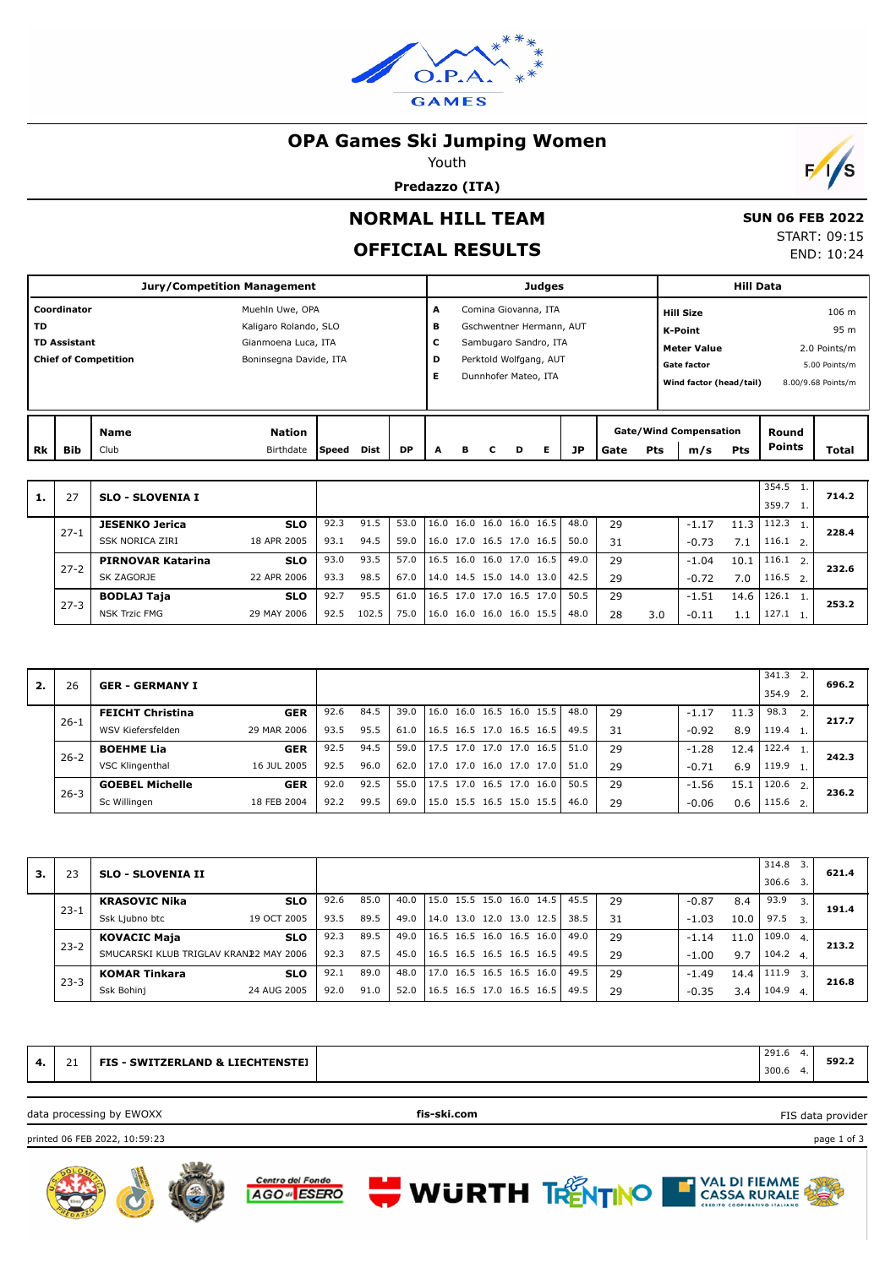

## **OPA Games Ski Jumping Women**

Youth

**Predazzo (ITA)**



 **SUN 06 FEB 2022** START: 09:15 END: 10:24

# **NORMAL HILL TEAM**

## **OFFICIAL RESULTS**

|           |                                                                                             |                     | <b>Jury/Competition Management</b> |       |      |           |   |   |   |                          | <b>Judges</b> |    |      |            |                                      | <b>Hill Data</b>        |                        |                    |
|-----------|---------------------------------------------------------------------------------------------|---------------------|------------------------------------|-------|------|-----------|---|---|---|--------------------------|---------------|----|------|------------|--------------------------------------|-------------------------|------------------------|--------------------|
|           | Coordinator<br>Muehln Uwe, OPA<br><b>TD</b><br>Kaligaro Rolando, SLO<br>Gianmoena Luca, ITA |                     |                                    |       |      |           | A |   |   | Comina Giovanna, ITA     |               |    |      |            | <b>Hill Size</b>                     |                         |                        | 106 <sub>m</sub>   |
|           |                                                                                             |                     |                                    |       |      |           | в |   |   | Gschwentner Hermann, AUT |               |    |      |            | K-Point                              |                         |                        | 95 m               |
|           | <b>TD Assistant</b><br>Boninsegna Davide, ITA                                               |                     |                                    |       |      |           | c |   |   | Sambugaro Sandro, ITA    |               |    |      |            | <b>Meter Value</b>                   |                         |                        | 2.0 Points/m       |
|           |                                                                                             |                     |                                    |       |      |           | D |   |   | Perktold Wolfgang, AUT   |               |    |      |            | <b>Gate factor</b>                   |                         |                        | 5.00 Points/m      |
|           | <b>Chief of Competition</b>                                                                 |                     |                                    |       |      |           | Е |   |   | Dunnhofer Mateo, ITA     |               |    |      |            |                                      | Wind factor (head/tail) |                        | 8.00/9.68 Points/m |
|           |                                                                                             |                     |                                    |       |      |           |   |   |   |                          |               |    |      |            |                                      |                         |                        |                    |
| <b>Rk</b> | <b>Bib</b>                                                                                  | <b>Name</b><br>Club | <b>Nation</b><br>Birthdate         | Speed | Dist | <b>DP</b> | A | в | C | D                        | Е             | JP | Gate | <b>Pts</b> | <b>Gate/Wind Compensation</b><br>m/s | Pts                     | Round<br><b>Points</b> | <b>Total</b>       |

| 1. | 27       | <b>SLO - SLOVENIA I</b>  |             |      |       |      |                          |  |                          |      |    |     |         |       | 354.5<br>359.7 |    | 714.2 |
|----|----------|--------------------------|-------------|------|-------|------|--------------------------|--|--------------------------|------|----|-----|---------|-------|----------------|----|-------|
|    | $27 - 1$ | <b>JESENKO Jerica</b>    | <b>SLO</b>  | 92.3 | 91.5  | 53.0 |                          |  | 16.0 16.0 16.0 16.0 16.5 | 48.0 | 29 |     | $-1.17$ | 11.3  | 112.3          |    | 228.4 |
|    |          | SSK NORICA ZIRI          | 18 APR 2005 | 93.1 | 94.5  | 59.0 | 16.0 17.0 16.5 17.0      |  | 16.5                     | 50.0 | 31 |     | $-0.73$ | 7.1   | 116.1          | 2. |       |
|    | $27 - 2$ | <b>PIRNOVAR Katarina</b> | <b>SLO</b>  | 93.0 | 93.5  | 57.0 | 16.5 16.0 16.0 17.0 16.5 |  |                          | 49.0 | 29 |     | $-1.04$ | 10.1  | 116.1          | 2. | 232.6 |
|    |          | SK ZAGORJE               | 22 APR 2006 | 93.3 | 98.5  | 67.0 | 14.0 14.5 15.0 14.0 13.0 |  |                          | 42.5 | 29 |     | $-0.72$ | 7.0   | $116.5$ 2.     |    |       |
|    | $27 - 3$ | <b>BODLAJ Taja</b>       | <b>SLO</b>  | 92.7 | 95.5  | 61.0 | 16.5 17.0 17.0 16.5 17.0 |  |                          | 50.5 | 29 |     | $-1.51$ | 14.6  | 126.1          |    | 253.2 |
|    |          | <b>NSK Trzic FMG</b>     | 29 MAY 2006 | 92.5 | 102.5 | 75.0 | 16.0 16.0 16.0 16.0 15.5 |  |                          | 48.0 | 28 | 3.0 | $-0.11$ | l . 1 | 127.1          |    |       |

| 2. | 26       | <b>GER - GERMANY I</b>  |             |      |      |      |                          |                     |      |      |    |         |      | 341.3<br>354.9 |    | 696.2 |
|----|----------|-------------------------|-------------|------|------|------|--------------------------|---------------------|------|------|----|---------|------|----------------|----|-------|
|    | $26 - 1$ | <b>FEICHT Christina</b> | <b>GER</b>  | 92.6 | 84.5 | 39.0 | 16.0 16.0 16.5 16.0 15.5 |                     |      | 48.0 | 29 | $-1.17$ | 11.3 | 98.3           | 2. | 217.7 |
|    |          | WSV Kiefersfelden       | 29 MAR 2006 | 93.5 | 95.5 | 61.0 | 16.5 16.5 17.0 16.5 16.5 |                     |      | 49.5 | 31 | $-0.92$ | 8.9  | 119.4          |    |       |
|    | $26 - 2$ | <b>BOEHME Lia</b>       | <b>GER</b>  | 92.5 | 94.5 | 59.0 | 17.5 17.0 17.0 17.0 16.5 |                     |      | 51.0 | 29 | $-1.28$ | 12.4 | 122.4          |    | 242.3 |
|    |          | VSC Klingenthal         | 16 JUL 2005 | 92.5 | 96.0 | 62.0 | 17.0                     | 17.0 16.0 17.0      | 17.0 | 51.0 | 29 | $-0.71$ | 6.9  | 119.9          |    |       |
|    | $26 - 3$ | <b>GOEBEL Michelle</b>  | <b>GER</b>  | 92.0 | 92.5 | 55.0 | 17.5 17.0 16.5 17.0 16.0 |                     |      | 50.5 | 29 | $-1.56$ | 15.1 | 120.6          | 2. | 236.2 |
|    |          | Sc Willingen            | 18 FEB 2004 | 92.2 | 99.5 | 69.0 | 15.0                     | 15.5 16.5 15.0 15.5 |      | 46.0 | 29 | $-0.06$ | 0.6  | 115.6          | 2. |       |

|    |          |                                        |      |      |      |                          |           |      |    |         |      | 314.8 |                  |       |
|----|----------|----------------------------------------|------|------|------|--------------------------|-----------|------|----|---------|------|-------|------------------|-------|
| з. | 23       | <b>SLO - SLOVENIA II</b>               |      |      |      |                          |           |      |    |         |      |       |                  | 621.4 |
|    |          |                                        |      |      |      |                          |           |      |    |         |      | 306.6 |                  |       |
|    |          |                                        |      |      |      |                          |           |      |    |         |      |       |                  |       |
|    |          | <b>KRASOVIC Nika</b><br><b>SLO</b>     | 92.6 | 85.0 | 40.0 | 15.0 15.5 15.0           | 16.0 14.5 | 45.5 | 29 | $-0.87$ | 8.4  | 93.9  | 3.               |       |
|    | $23 - 1$ |                                        |      |      |      |                          |           |      |    |         |      |       |                  | 191.4 |
|    |          | 19 OCT 2005<br>Ssk Ljubno btc          | 93.5 | 89.5 | 49.0 | 14.0 13.0 12.0 13.0 12.5 |           | 38.5 | 31 | $-1.03$ | 10.0 | 97.5  | $\overline{3}$ . |       |
|    |          |                                        |      |      |      |                          |           |      |    |         |      |       |                  |       |
|    |          | <b>KOVACIC Maja</b><br><b>SLO</b>      | 92.3 | 89.5 | 49.0 | 16.5 16.5 16.0 16.5 16.0 |           | 49.0 | 29 | $-1.14$ | 11.0 | 109.0 | 4.1              | 213.2 |
|    | $23 - 2$ | SMUCARSKI KLUB TRIGLAV KRANJ2 MAY 2006 | 92.3 | 87.5 | 45.0 | 16.5 16.5 16.5 16.5 16.5 |           | 49.5 |    |         |      | 104.2 |                  |       |
|    |          |                                        |      |      |      |                          |           |      | 29 | $-1.00$ | 9.7  |       | $\mathbf{4}$     |       |
|    |          | <b>KOMAR Tinkara</b><br><b>SLO</b>     | 92.1 | 89.0 | 48.0 | 17.0 16.5 16.5 16.5 16.0 |           | 49.5 | 29 | $-1.49$ | 14.4 | 111.9 | 3.               |       |
|    | $23 - 3$ |                                        |      |      |      |                          |           |      |    |         |      |       |                  | 216.8 |
|    |          | Ssk Bohinj<br>24 AUG 2005              | 92.0 | 91.0 | 52.0 | 16.5 16.5 17.0 16.5 16.5 |           | 49.5 | 29 | $-0.35$ | 3.4  | 104.9 | $\overline{4}$ . |       |
|    |          |                                        |      |      |      |                          |           |      |    |         |      |       |                  |       |

|    |    | data processing by EWOXX                    | fis-ski.com |       | FIS data provider |  |
|----|----|---------------------------------------------|-------------|-------|-------------------|--|
| 4. |    | <b>FIS - SWITZERLAND &amp; LIECHTENSTEJ</b> |             | 300.6 | 592.2             |  |
|    | 71 |                                             |             | 291.6 |                   |  |









FIS data provider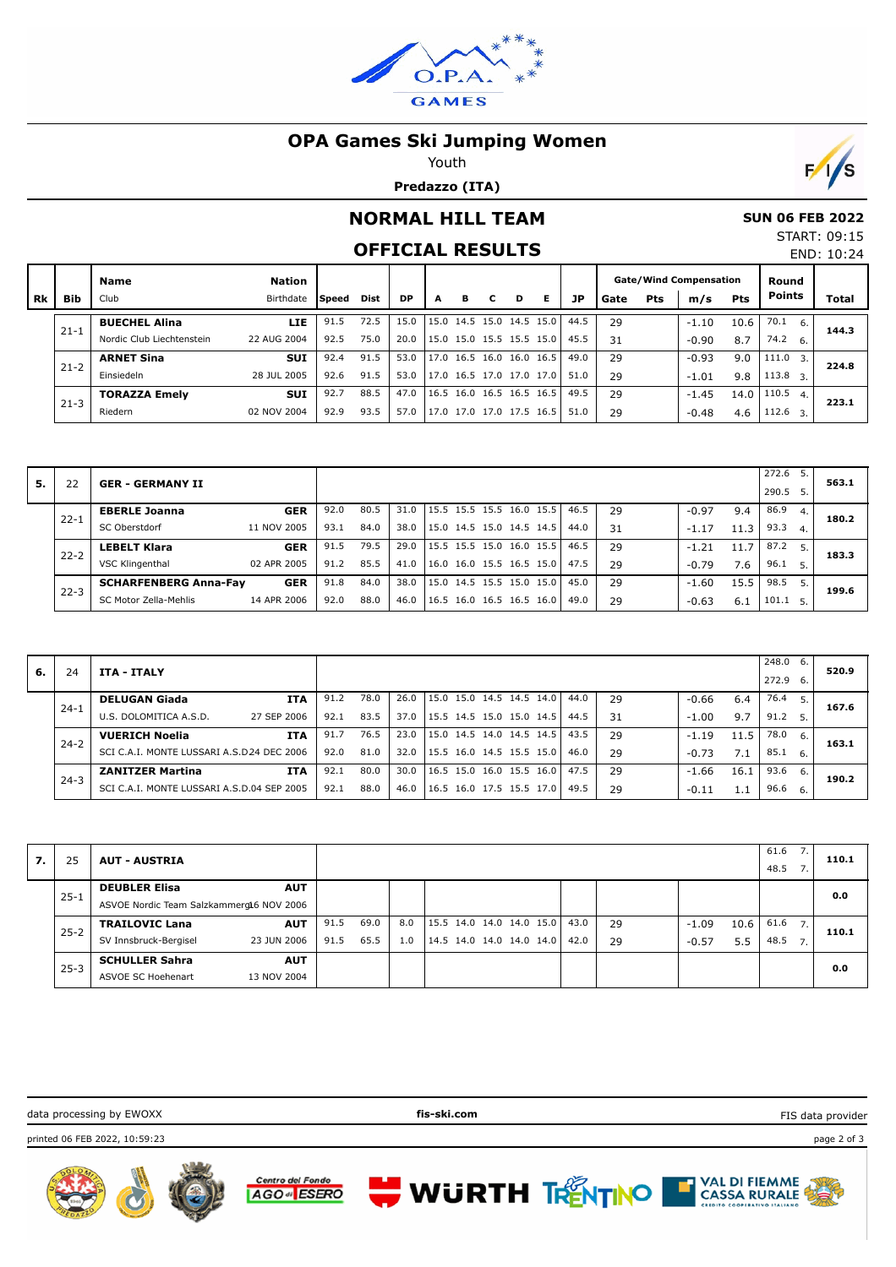

## **OPA Games Ski Jumping Women**

Youth

**Predazzo (ITA)**



# **NORMAL HILL TEAM**

## **SUN 06 FEB 2022**

START: 09:15 END: 10:24

|      |            |                           |               |              |             | <b>OFFICIAL RESULTS</b> |   |                          |   |   |                          |      |      |     |                               |            |                           | END: 10:24 |
|------|------------|---------------------------|---------------|--------------|-------------|-------------------------|---|--------------------------|---|---|--------------------------|------|------|-----|-------------------------------|------------|---------------------------|------------|
|      |            | Name                      | <b>Nation</b> |              |             |                         |   |                          |   |   |                          |      |      |     | <b>Gate/Wind Compensation</b> |            | Round                     |            |
| l Rk | <b>Bib</b> | Club                      | Birthdate     | <b>Speed</b> | <b>Dist</b> | <b>DP</b>               | A | в                        | C | D | Е                        | JP   | Gate | Pts | m/s                           | <b>Pts</b> | <b>Points</b>             | Total      |
|      |            | <b>BUECHEL Alina</b>      | <b>LIE</b>    | 91.5         | 72.5        | 15.0                    |   |                          |   |   | 15.0 14.5 15.0 14.5 15.0 | 44.5 | 29   |     | $-1.10$                       | 10.6       | 70.1<br>6.                | 144.3      |
|      | $21 - 1$   | Nordic Club Liechtenstein | 22 AUG 2004   | 92.5         | 75.0        | 20.0                    |   |                          |   |   | 15.0 15.0 15.5 15.5 15.0 | 45.5 | 31   |     | $-0.90$                       | 8.7        | $74.2\quad 6.$            |            |
|      | $21 - 2$   | <b>ARNET Sina</b>         | <b>SUI</b>    | 92.4         | 91.5        | 53.0                    |   | 17.0 16.5 16.0 16.0 16.5 |   |   |                          | 49.0 | 29   |     | $-0.93$                       | 9.0        | 111.0<br>$\overline{3}$ . | 224.8      |
|      |            | Einsiedeln                | 28 JUL 2005   | 92.6         | 91.5        | 53.0                    |   | 17.0 16.5 17.0 17.0 17.0 |   |   |                          | 51.0 | 29   |     | $-1.01$                       | 9.8        | $113.8$ 3.                |            |
|      | $21 - 3$   | <b>TORAZZA Emelv</b>      | <b>SUI</b>    | 92.7         | 88.5        | 47.0                    |   | 16.5 16.0 16.5 16.5 16.5 |   |   |                          | 49.5 | 29   |     | $-1.45$                       | 14.0       | 110.5<br>4.               | 223.1      |
|      |            | Riedern                   | 02 NOV 2004   | 92.9         | 93.5        | 57.0                    |   | 17.0 17.0 17.0 17.5 16.5 |   |   |                          | 51.0 | 29   |     | $-0.48$                       | 4.6        | $112.6 \quad 3.$          |            |

| 5. |          | <b>GER - GERMANY II</b>      |             |      |      |      |                                      |                          |  |      |      |    |         |      | 272.6<br>, 290.5 |     | 563.1 |
|----|----------|------------------------------|-------------|------|------|------|--------------------------------------|--------------------------|--|------|------|----|---------|------|------------------|-----|-------|
|    | $22 - 1$ | <b>EBERLE Joanna</b>         | <b>GER</b>  | 92.0 | 80.5 | 31.0 | 15.5 15.5 15.5 16.0 15.5             |                          |  |      | 46.5 | 29 | $-0.97$ | 9.4  | 86.9             |     | 180.2 |
|    |          | SC Oberstdorf                | 11 NOV 2005 | 93.1 | 84.0 | 38.0 | 15.0 14.5 15.0 14.5 14.5             |                          |  |      | 44.0 | 31 | $-1.17$ | 11.3 | 93.3             | 4.  |       |
|    | $22 - 2$ | <b>LEBELT Klara</b>          | <b>GER</b>  | 91.5 | 79.5 | 29.0 |                                      | 15.5 15.5 15.0 16.0 15.5 |  |      | 46.5 | 29 | $-1.21$ | 11.7 | 87.2             | 5.1 | 183.3 |
|    |          | VSC Klingenthal              | 02 APR 2005 | 91.2 | 85.5 | 41.0 | $16.0$ 16.0 15.5 16.5 15.0           |                          |  |      | 47.5 | 29 | $-0.79$ | 7.6  | 96.1             |     |       |
|    |          | <b>SCHARFENBERG Anna-Fav</b> | <b>GER</b>  | 91.8 | 84.0 | 38.0 |                                      | 15.0 14.5 15.5 15.0      |  | 15.0 | 45.0 | 29 | $-1.60$ | 15.5 | 98.5             | 5.1 | 199.6 |
|    | $22 - 3$ | SC Motor Zella-Mehlis        | 14 APR 2006 | 92.0 | 88.0 | 46.0 | $ 16.5 \t16.0 \t16.5 \t16.5 \t16.0 $ |                          |  |      | 49.0 | 29 | $-0.63$ | 6.1  | 101.1            |     |       |

| 6. | 24       | ITA - ITALY                                   |      |      |      |                          |                |      |    |         |      | 248.0<br>272.9 | 6.<br>- 6. | 520.9 |
|----|----------|-----------------------------------------------|------|------|------|--------------------------|----------------|------|----|---------|------|----------------|------------|-------|
|    | $24 - 1$ | <b>ITA</b><br><b>DELUGAN Giada</b>            | 91.2 | 78.0 | 26.0 | 15.0 15.0 14.5 14.5 14.0 |                | 44.0 | 29 | $-0.66$ | 6.4  | 76.4           | -5.        | 167.6 |
|    |          | 27 SEP 2006<br>U.S. DOLOMITICA A.S.D.         | 92.1 | 83.5 | 37.0 | 15.5 14.5 15.0 15.0      | 14.5           | 44.5 | 31 | $-1.00$ | 9.7  | 91.2           | 5.         |       |
|    | $24 - 2$ | <b>ITA</b><br><b>VUERICH Noelia</b>           | 91.7 | 76.5 | 23.0 | 15.0 14.5 14.0 14.5 14.5 |                | 43.5 | 29 | $-1.19$ | 11.5 | 78.0           | 6.         | 163.1 |
|    |          | SCI C.A.I. MONTE LUSSARI A.S.D24 DEC 2006     | 92.0 | 81.0 | 32.0 | 15.5 16.0                | 14.5 15.5 15.0 | 46.0 | 29 | $-0.73$ | 7.1  | 85.1           | -6.        |       |
|    |          | <b>ITA</b><br><b>ZANITZER Martina</b>         | 92.1 | 80.0 | 30.0 | 16.5 15.0 16.0 15.5 16.0 |                | 47.5 | 29 | $-1.66$ | 16.1 | 93.6           | 6.         | 190.2 |
|    | $24 - 3$ | MONTE LUSSARI A.S.D.04 SEP 2005<br>SCI C.A.I. | 92.1 | 88.0 | 46.0 | 16.5 16.0 17.5 15.5 17.0 |                | 49.5 | 29 | $-0.11$ | 1.1  | 96.6           | - 6.       |       |

| 7. | 25       | <b>AUT - AUSTRIA</b>                     |      |      |     |                          |      |    |                 | 61.6<br>48.5 | 110.1 |
|----|----------|------------------------------------------|------|------|-----|--------------------------|------|----|-----------------|--------------|-------|
|    | $25 - 1$ | <b>DEUBLER Elisa</b><br><b>AUT</b>       |      |      |     |                          |      |    |                 |              | 0.0   |
|    |          | ASVOE Nordic Team Salzkammerg16 NOV 2006 |      |      |     |                          |      |    |                 |              |       |
|    |          | <b>AUT</b><br><b>TRAILOVIC Lana</b>      | 91.5 | 69.0 | 8.0 | 15.5 14.0 14.0 14.0 15.0 | 43.0 | 29 | 10.6<br>$-1.09$ | 61.6<br>7.   | 110.1 |
|    | $25 - 2$ | 23 JUN 2006<br>SV Innsbruck-Bergisel     | 91.5 | 65.5 | 1.0 | 14.5 14.0 14.0 14.0 14.0 | 42.0 | 29 | $-0.57$<br>5.5  | 48.5<br>7.   |       |
|    |          | <b>SCHULLER Sahra</b><br><b>AUT</b>      |      |      |     |                          |      |    |                 |              | 0.0   |
|    | $25 - 3$ | 13 NOV 2004<br>ASVOE SC Hoehenart        |      |      |     |                          |      |    |                 |              |       |

**WURTH TRENTINO** 

data processing by EWOXX **fis-ski.com**

printed 06 FEB 2022, 10:59:23 page 2 of 3







FIS data provider